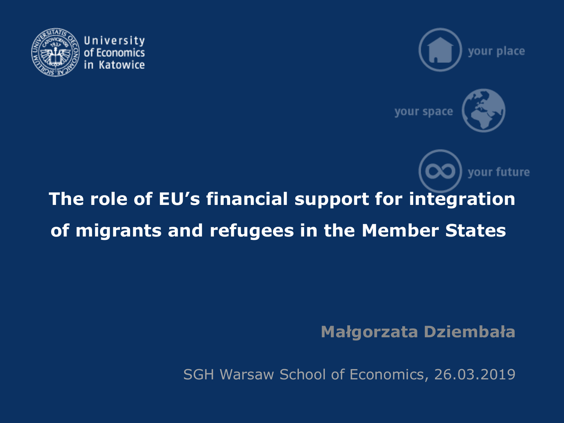



vour future



# **The role of EU's financial support for integration of migrants and refugees in the Member States**

**Małgorzata Dziembała**

SGH Warsaw School of Economics, 26.03.2019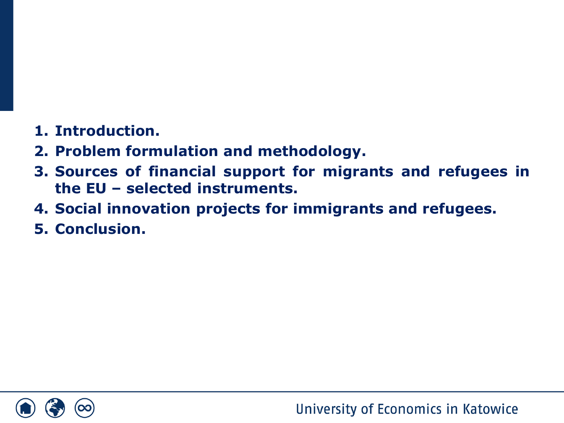## **1. Introduction.**

- **2. Problem formulation and methodology.**
- **3. Sources of financial support for migrants and refugees in the EU – selected instruments.**
- **4. Social innovation projects for immigrants and refugees.**
- **5. Conclusion.**

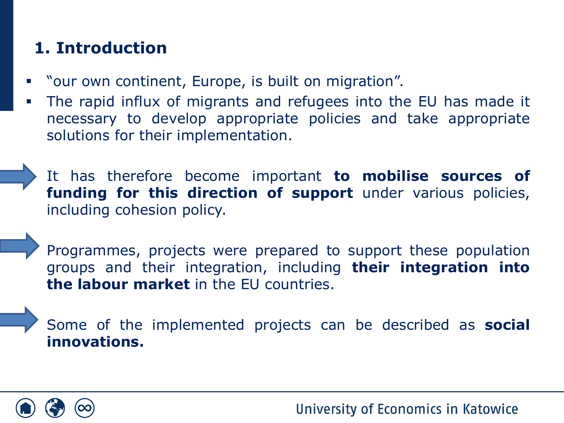# **1. Introduction**

- "our own continent, Europe, is built on migration".
- The rapid influx of migrants and refugees into the EU has made it necessary to develop appropriate policies and take appropriate solutions for their implementation.

▪ It has therefore become important **to mobilise sources of funding for this direction of support** under various policies, including cohesion policy.

Programmes, projects were prepared to support these population groups and their integration, including **their integration into the labour market** in the EU countries.

Some of the implemented projects can be described as **social innovations.**

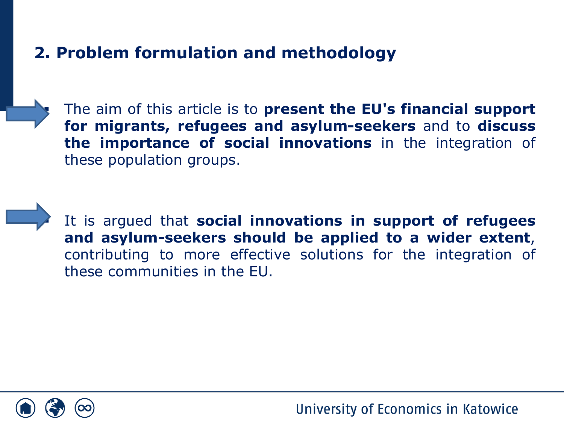# **2. Problem formulation and methodology**

▪ The aim of this article is to **present the EU's financial support for migrants, refugees and asylum-seekers** and to **discuss the importance of social innovations** in the integration of these population groups.

▪ It is argued that **social innovations in support of refugees and asylum-seekers should be applied to a wider extent**, contributing to more effective solutions for the integration of these communities in the EU.

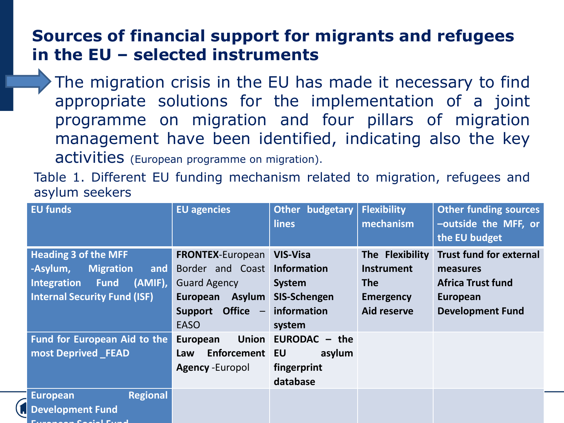#### **Sources of financial support for migrants and refugees in the EU – selected instruments**

The migration crisis in the EU has made it necessary to find appropriate solutions for the implementation of a joint programme on migration and four pillars of migration management have been identified, indicating also the key activities (European programme on migration).

Table 1. Different EU funding mechanism related to migration, refugees and asylum seekers

| <b>EU funds</b>                                                                                                                                        | <b>EU agencies</b>                                                                              | Other budgetary<br><b>lines</b>                                        | <b>Flexibility</b><br>mechanism                                        | <b>Other funding sources</b><br>-outside the MFF, or<br>the EU budget                     |
|--------------------------------------------------------------------------------------------------------------------------------------------------------|-------------------------------------------------------------------------------------------------|------------------------------------------------------------------------|------------------------------------------------------------------------|-------------------------------------------------------------------------------------------|
| <b>Heading 3 of the MFF</b><br>-Asylum,<br><b>Migration</b><br>and $ $<br>(AMIF),<br>Integration<br><b>Fund</b><br><b>Internal Security Fund (ISF)</b> | <b>FRONTEX-European</b><br>Border and Coast<br><b>Guard Agency</b><br><b>Asylum</b><br>European | <b>VIS-Visa</b><br><b>Information</b><br><b>System</b><br>SIS-Schengen | The Flexibility<br><b>Instrument</b><br><b>The</b><br><b>Emergency</b> | <b>Trust fund for external</b><br>measures<br><b>Africa Trust fund</b><br><b>European</b> |
|                                                                                                                                                        | Office $-$<br><b>Support</b><br><b>EASO</b>                                                     | information<br>system                                                  | Aid reserve                                                            | <b>Development Fund</b>                                                                   |
| Fund for European Aid to the                                                                                                                           | <b>Union</b><br>European                                                                        | EURODAC $-$ the                                                        |                                                                        |                                                                                           |
| most Deprived FEAD                                                                                                                                     | Enforcement EU<br>Law                                                                           | asylum                                                                 |                                                                        |                                                                                           |
|                                                                                                                                                        | <b>Agency -Europol</b>                                                                          | fingerprint<br>database                                                |                                                                        |                                                                                           |
| <b>Regional</b><br><b>European</b>                                                                                                                     |                                                                                                 |                                                                        |                                                                        |                                                                                           |
| <b>Development Fund</b>                                                                                                                                |                                                                                                 |                                                                        |                                                                        |                                                                                           |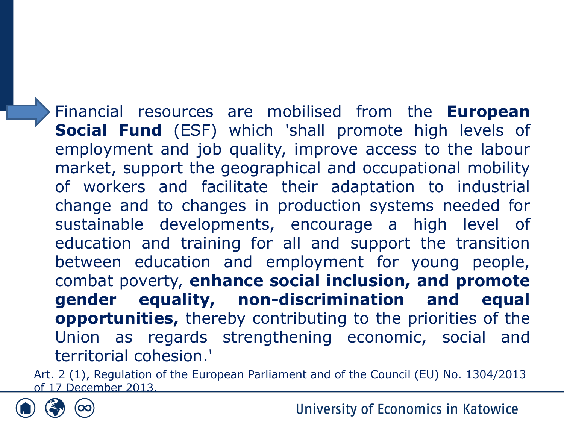Financial resources are mobilised from the **European Social Fund** (ESF) which 'shall promote high levels of employment and job quality, improve access to the labour market, support the geographical and occupational mobility of workers and facilitate their adaptation to industrial change and to changes in production systems needed for sustainable developments, encourage a high level of education and training for all and support the transition between education and employment for young people, combat poverty, **enhance social inclusion, and promote gender equality, non-discrimination and equal opportunities,** thereby contributing to the priorities of the Union as regards strengthening economic, social and territorial cohesion.'

Art. 2 (1), Regulation of the European Parliament and of the Council (EU) No. 1304/2013 of 17 December 2013.

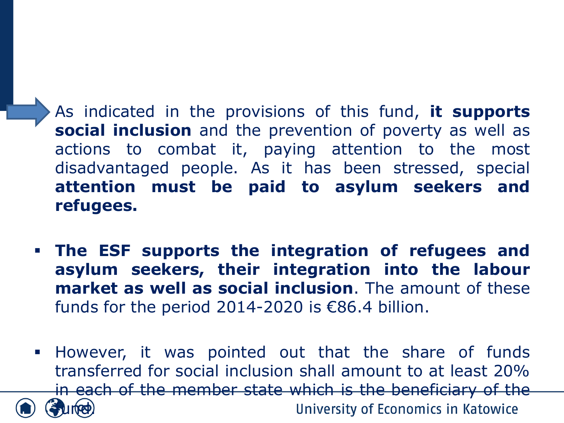▪ As indicated in the provisions of this fund, **it supports social inclusion** and the prevention of poverty as well as actions to combat it, paying attention to the most disadvantaged people. As it has been stressed, special **attention must be paid to asylum seekers and refugees.**

- **The ESF supports the integration of refugees and asylum seekers, their integration into the labour market as well as social inclusion**. The amount of these funds for the period 2014-2020 is  $€86.4$  billion.
- **EXTE:** However, it was pointed out that the share of funds transferred for social inclusion shall amount to at least 20% in each of the member state which is the beneficiary of the University of Economics in Katowice  $\mathbf{u}$   $(\mathbf{e})$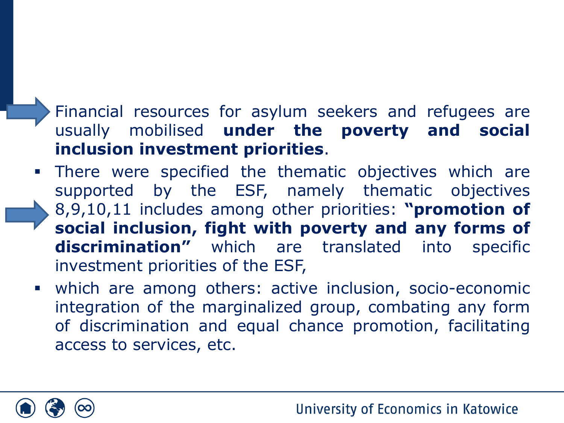# Financial resources for asylum seekers and refugees are usually mobilised **under the poverty and social inclusion investment priorities**.

- **.** There were specified the thematic objectives which are supported by the ESF, namely thematic objectives 8,9,10,11 includes among other priorities: **"promotion of social inclusion, fight with poverty and any forms of discrimination"** which are translated into specific investment priorities of the ESF,
- which are among others: active inclusion, socio-economic integration of the marginalized group, combating any form of discrimination and equal chance promotion, facilitating access to services, etc.

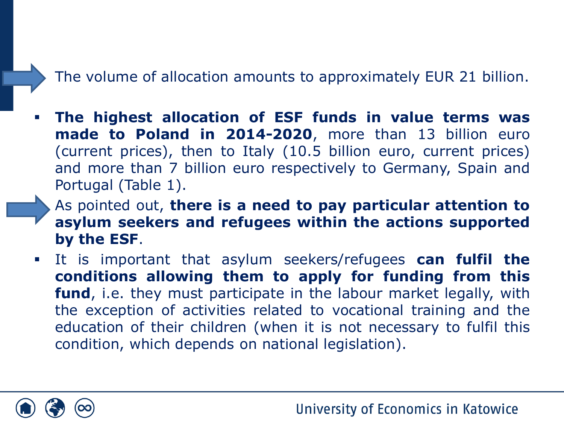#### The volume of allocation amounts to approximately EUR 21 billion.

- **The highest allocation of ESF funds in value terms was made to Poland in 2014-2020**, more than 13 billion euro (current prices), then to Italy (10.5 billion euro, current prices) and more than 7 billion euro respectively to Germany, Spain and Portugal (Table 1).
	- As pointed out, **there is a need to pay particular attention to asylum seekers and refugees within the actions supported by the ESF**.
- It is important that asylum seekers/refugees **can fulfil the conditions allowing them to apply for funding from this fund**, i.e. they must participate in the labour market legally, with the exception of activities related to vocational training and the education of their children (when it is not necessary to fulfil this condition, which depends on national legislation).

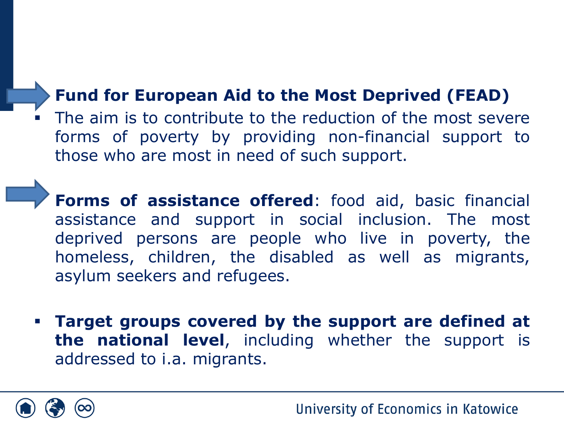# ▪ **Fund for European Aid to the Most Deprived (FEAD)**

The aim is to contribute to the reduction of the most severe forms of poverty by providing non-financial support to those who are most in need of such support.

▪ **Forms of assistance offered**: food aid, basic financial assistance and support in social inclusion. The most deprived persons are people who live in poverty, the homeless, children, the disabled as well as migrants, asylum seekers and refugees.

▪ **Target groups covered by the support are defined at the national level**, including whether the support is addressed to i.a. migrants.

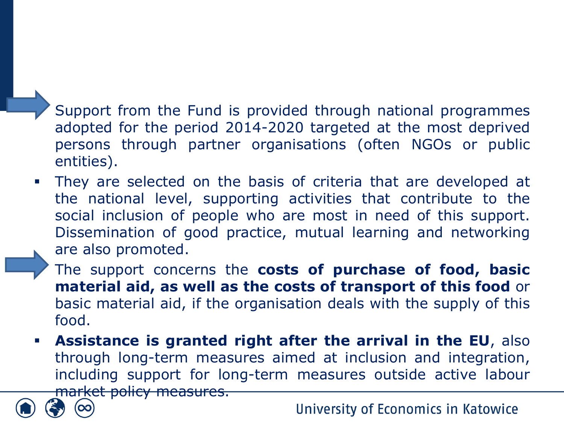Support from the Fund is provided through national programmes adopted for the period 2014-2020 targeted at the most deprived persons through partner organisations (often NGOs or public entities).

They are selected on the basis of criteria that are developed at the national level, supporting activities that contribute to the social inclusion of people who are most in need of this support. Dissemination of good practice, mutual learning and networking are also promoted.

▪ The support concerns the **costs of purchase of food, basic material aid, as well as the costs of transport of this food** or basic material aid, if the organisation deals with the supply of this food.

▪ **Assistance is granted right after the arrival in the EU**, also through long-term measures aimed at inclusion and integration, including support for long-term measures outside active labour market policy measures.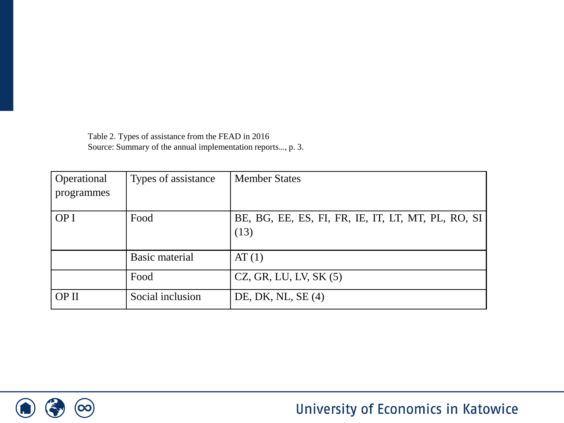Table 2. Types of assistance from the FEAD in 2016 Source: Summary of the annual implementation reports…, p. 3.

| Operational | Types of assistance | <b>Member States</b>                               |
|-------------|---------------------|----------------------------------------------------|
| programmes  |                     |                                                    |
|             |                     |                                                    |
| OP I        | Food                | BE, BG, EE, ES, FI, FR, IE, IT, LT, MT, PL, RO, SI |
|             |                     | (13)                                               |
|             |                     |                                                    |
|             | Basic material      | AT(1)                                              |
|             | Food                | $CZ$ , GR, LU, LV, SK $(5)$                        |
| OP II       | Social inclusion    | DE, DK, NL, $SE(4)$                                |

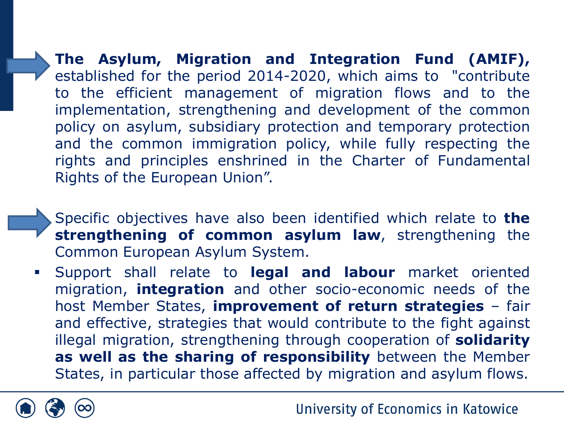▪ **The Asylum, Migration and Integration Fund (AMIF),** established for the period 2014-2020, which aims to "contribute to the efficient management of migration flows and to the implementation, strengthening and development of the common policy on asylum, subsidiary protection and temporary protection and the common immigration policy, while fully respecting the rights and principles enshrined in the Charter of Fundamental Rights of the European Union".

- Specific objectives have also been identified which relate to **the strengthening of common asylum law**, strengthening the Common European Asylum System.
- Support shall relate to **legal and labour** market oriented migration, **integration** and other socio-economic needs of the host Member States, **improvement of return strategies** – fair and effective, strategies that would contribute to the fight against illegal migration, strengthening through cooperation of **solidarity as well as the sharing of responsibility** between the Member States, in particular those affected by migration and asylum flows.

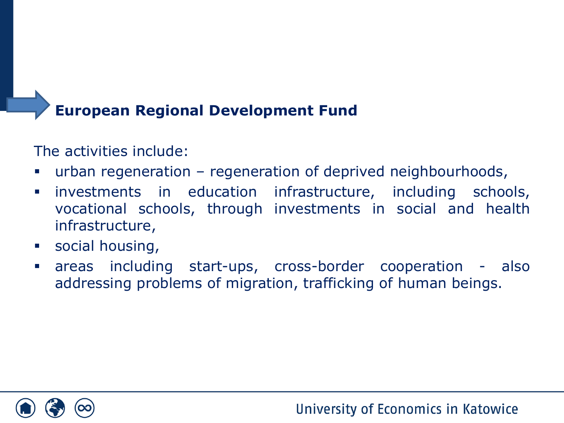#### ▪ **European Regional Development Fund**

#### The activities include:

- urban regeneration regeneration of deprived neighbourhoods,
- **•** investments in education infrastructure, including schools, vocational schools, through investments in social and health infrastructure,
- social housing,
- areas including start-ups, cross-border cooperation also addressing problems of migration, trafficking of human beings.

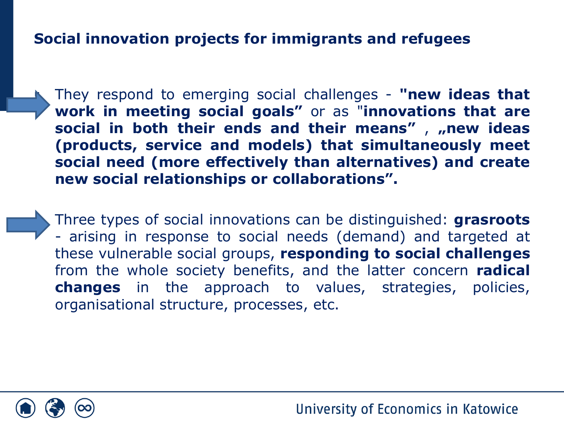#### **Social innovation projects for immigrants and refugees**

▪ They respond to emerging social challenges - **"new ideas that work in meeting social goals"** or as "**innovations that are social in both their ends and their means"** , **"new ideas (products, service and models) that simultaneously meet social need (more effectively than alternatives) and create new social relationships or collaborations".**

▪ Three types of social innovations can be distinguished: **grasroots** - arising in response to social needs (demand) and targeted at these vulnerable social groups, **responding to social challenges** from the whole society benefits, and the latter concern **radical changes** in the approach to values, strategies, policies, organisational structure, processes, etc.

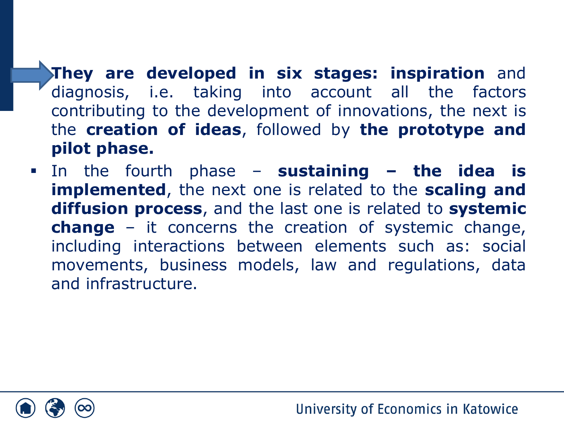▪ **They are developed in six stages: inspiration** and diagnosis, i.e. taking into account all the factors contributing to the development of innovations, the next is the **creation of ideas**, followed by **the prototype and pilot phase.**

▪ In the fourth phase – **sustaining – the idea is implemented**, the next one is related to the **scaling and diffusion process**, and the last one is related to **systemic change** – it concerns the creation of systemic change, including interactions between elements such as: social movements, business models, law and regulations, data and infrastructure.

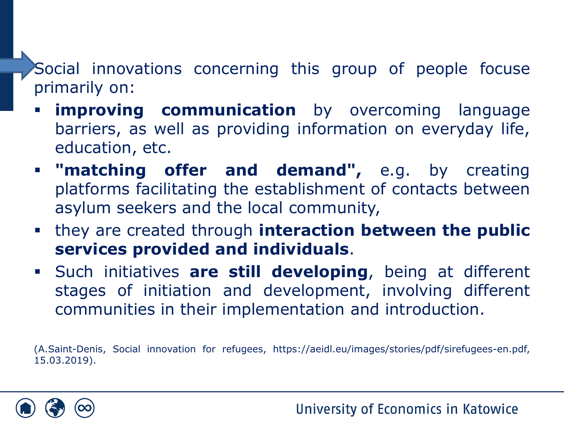Social innovations concerning this group of people focuse primarily on:

- **improving communication** by overcoming language barriers, as well as providing information on everyday life, education, etc.
- **"matching offer and demand",** e.g. by creating platforms facilitating the establishment of contacts between asylum seekers and the local community,
- they are created through **interaction between the public services provided and individuals**.
- Such initiatives **are still developing**, being at different stages of initiation and development, involving different communities in their implementation and introduction.

(A.Saint-Denis, Social innovation for refugees, https://aeidl.eu/images/stories/pdf/sirefugees-en.pdf, 15.03.2019).

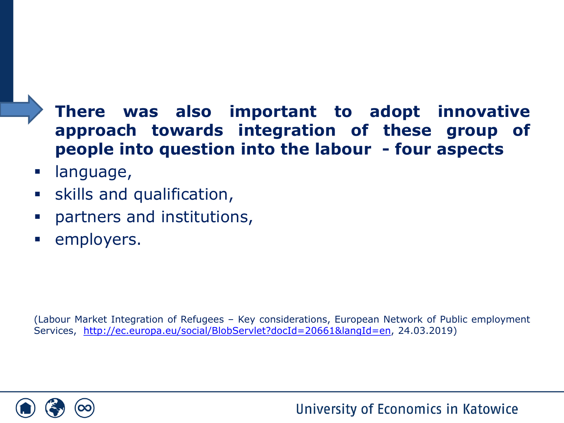# ▪ **There was also important to adopt innovative approach towards integration of these group of people into question into the labour - four aspects**

- language,
- **E** skills and qualification,
- partners and institutions,
- employers.

(Labour Market Integration of Refugees – Key considerations, European Network of Public employment Services, <http://ec.europa.eu/social/BlobServlet?docId=20661&langId=en>, 24.03.2019)

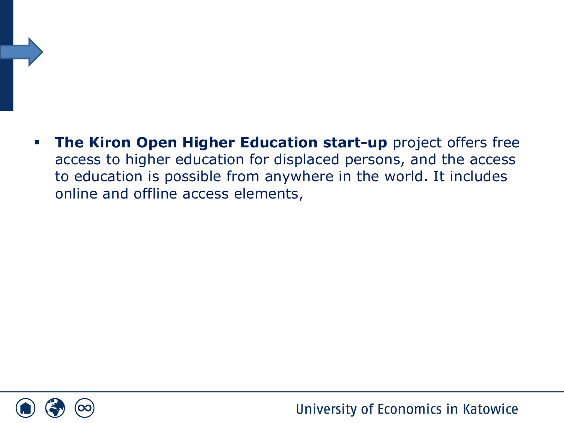▪ **The Kiron Open Higher Education start-up** project offers free access to higher education for displaced persons, and the access to education is possible from anywhere in the world. It includes online and offline access elements,

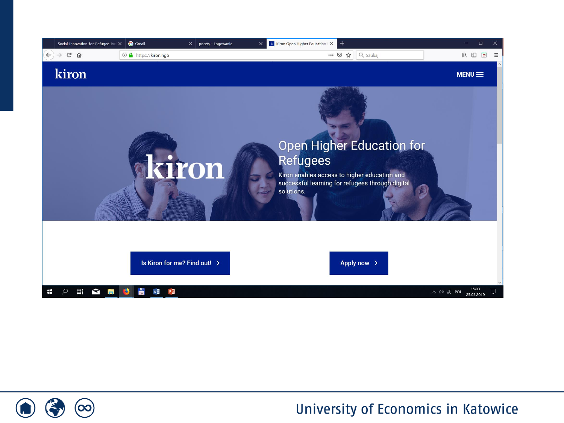

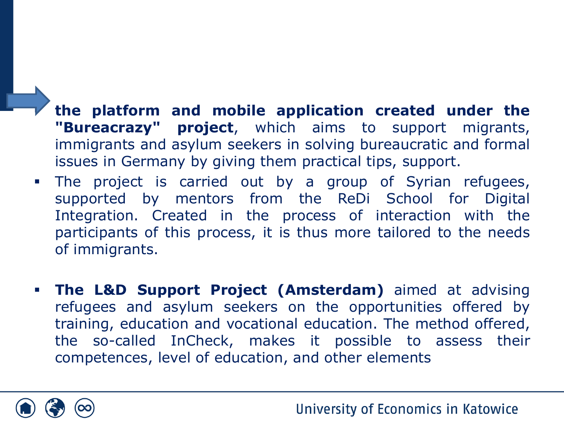- **the platform and mobile application created under the "Bureacrazy" project**, which aims to support migrants, immigrants and asylum seekers in solving bureaucratic and formal issues in Germany by giving them practical tips, support.
- **The project is carried out by a group of Syrian refugees,** supported by mentors from the ReDi School for Digital Integration. Created in the process of interaction with the participants of this process, it is thus more tailored to the needs of immigrants.
- **The L&D Support Project (Amsterdam)** aimed at advising refugees and asylum seekers on the opportunities offered by training, education and vocational education. The method offered, the so-called InCheck, makes it possible to assess their competences, level of education, and other elements

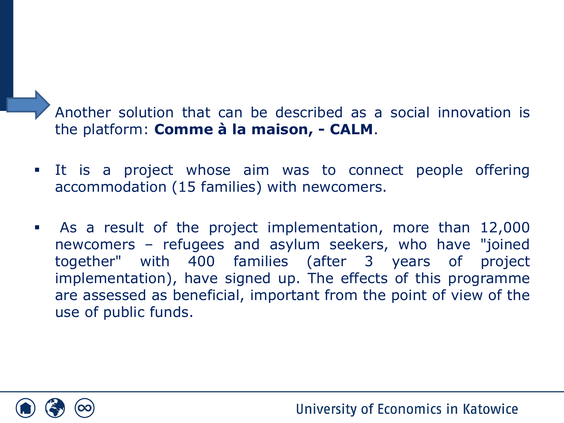Another solution that can be described as a social innovation is the platform: **Comme à la maison, - CALM**.

- It is a project whose aim was to connect people offering accommodation (15 families) with newcomers.
- As a result of the project implementation, more than 12,000 newcomers – refugees and asylum seekers, who have "joined together" with 400 families (after 3 years of project implementation), have signed up. The effects of this programme are assessed as beneficial, important from the point of view of the use of public funds.

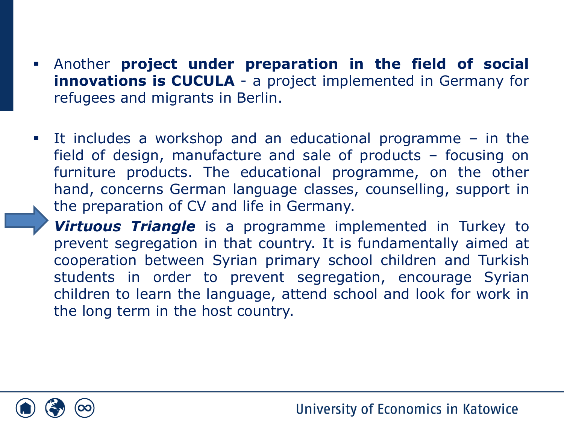- Another **project under preparation in the field of social innovations is CUCULA** - a project implemented in Germany for refugees and migrants in Berlin.
- It includes a workshop and an educational programme in the field of design, manufacture and sale of products – focusing on furniture products. The educational programme, on the other hand, concerns German language classes, counselling, support in the preparation of CV and life in Germany.

**Virtuous Triangle** is a programme implemented in Turkey to prevent segregation in that country. It is fundamentally aimed at cooperation between Syrian primary school children and Turkish students in order to prevent segregation, encourage Syrian children to learn the language, attend school and look for work in the long term in the host country.

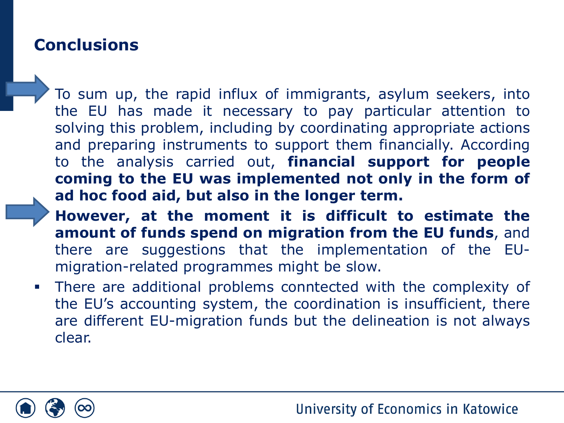## **Conclusions**

To sum up, the rapid influx of immigrants, asylum seekers, into the EU has made it necessary to pay particular attention to solving this problem, including by coordinating appropriate actions and preparing instruments to support them financially. According to the analysis carried out, **financial support for people coming to the EU was implemented not only in the form of ad hoc food aid, but also in the longer term.**

▪ **However, at the moment it is difficult to estimate the amount of funds spend on migration from the EU funds**, and there are suggestions that the implementation of the EUmigration-related programmes might be slow.

**.** There are additional problems conntected with the complexity of the EU's accounting system, the coordination is insufficient, there are different EU-migration funds but the delineation is not always clear.

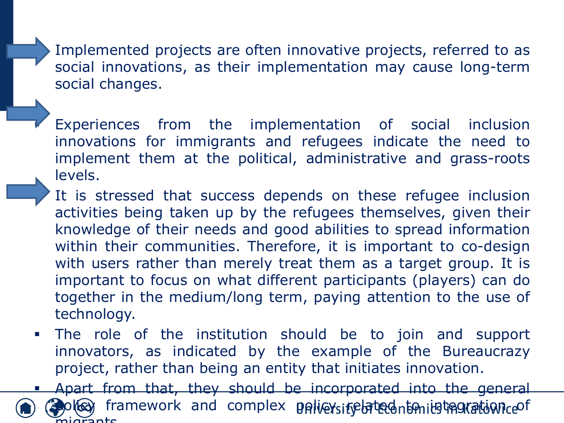Implemented projects are often innovative projects, referred to as social innovations, as their implementation may cause long-term social changes.

- Experiences from the implementation of social inclusion innovations for immigrants and refugees indicate the need to implement them at the political, administrative and grass-roots levels.
- It is stressed that success depends on these refugee inclusion activities being taken up by the refugees themselves, given their knowledge of their needs and good abilities to spread information within their communities. Therefore, it is important to co-design with users rather than merely treat them as a target group. It is important to focus on what different participants (players) can do together in the medium/long term, paying attention to the use of technology.
- The role of the institution should be to join and support innovators, as indicated by the example of the Bureaucrazy project, rather than being an entity that initiates innovation.

Apart from that, they should be incorporated into the general ol**ley** framework and complex policysitebried to initelacation ceof  $n$ t $c$